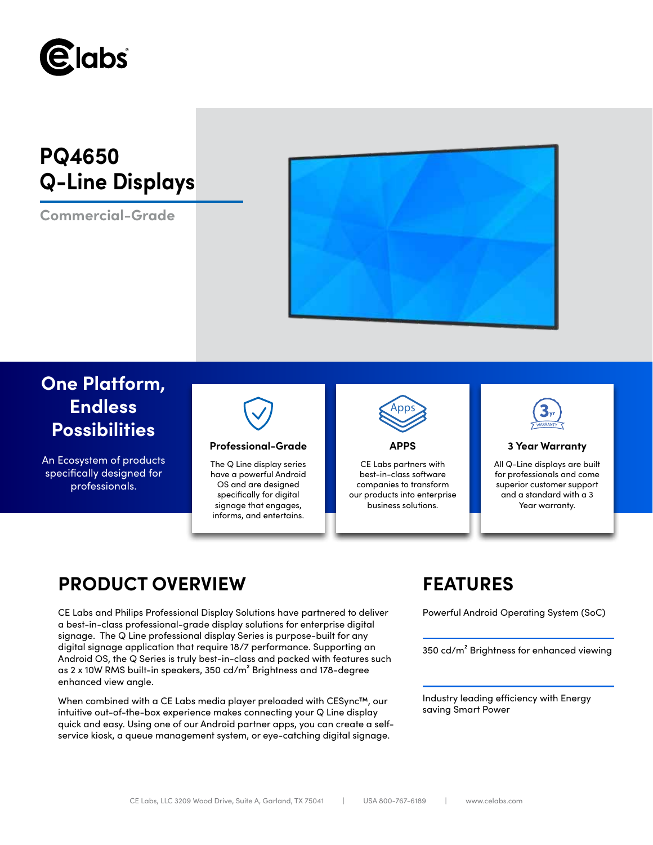

# **PQ4650 Q-Line Displays**

**Commercial-Grade**



## **One Platform, Endless Possibilities**

An Ecosystem of products specifically designed for professionals.



### **Professional-Grade APPS 3 Year Warranty**

The Q Line display series have a powerful Android OS and are designed specifically for digital signage that engages, informs, and entertains.



CE Labs partners with best-in-class software companies to transform our products into enterprise business solutions.



All Q-Line displays are built for professionals and come superior customer support and a standard with a 3 Year warranty.

## **PRODUCT OVERVIEW FEATURES**

CE Labs and Philips Professional Display Solutions have partnered to deliver Powerful Android Operating System (SoC) a best-in-class professional-grade display solutions for enterprise digital signage. The Q Line professional display Series is purpose-built for any digital signage application that require 18/7 performance. Supporting an Android OS, the Q Series is truly best-in-class and packed with features such as 2 x 10W RMS built-in speakers, 350 cd/m² Brightness and 178-degree enhanced view angle.

When combined with a CE Labs media player preloaded with CESync™, our intuitive out-of-the-box experience makes connecting your Q Line display quick and easy. Using one of our Android partner apps, you can create a selfservice kiosk, a queue management system, or eye-catching digital signage.

350 cd/m² Brightness for enhanced viewing

Industry leading efficiency with Energy saving Smart Power